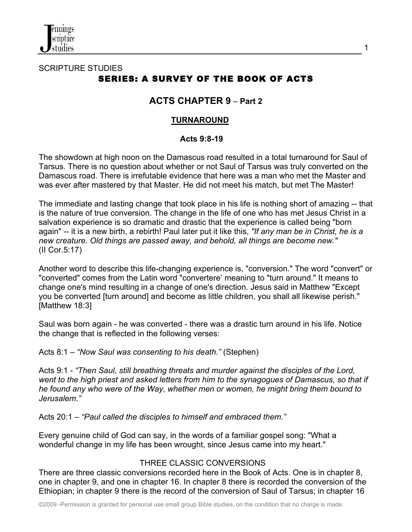

## SCRIPTURE STUDIES SERIES: A SURVEY OF THE BOOK OF ACTS

# **ACTS CHAPTER 9** – **Part 2**

1

#### **TURNAROUND**

#### **Acts 9:8-19**

The showdown at high noon on the Damascus road resulted in a total turnaround for Saul of Tarsus. There is no question about whether or not Saul of Tarsus was truly converted on the Damascus road. There is irrefutable evidence that here was a man who met the Master and was ever after mastered by that Master. He did not meet his match, but met The Master!

The immediate and lasting change that took place in his life is nothing short of amazing -- that is the nature of true conversion. The change in the life of one who has met Jesus Christ in a salvation experience is so dramatic and drastic that the experience is called being "born again" -- it is a new birth, a rebirth! Paul later put it like this, *"If any man be in Christ, he is a new creature. Old things are passed away, and behold, all things are become new."* (II Cor.5:17)

Another word to describe this life-changing experience is, "conversion." The word "convert" or "converted" comes from the Latin word "convertere' meaning to "turn around." It means to change one's mind resulting in a change of one's direction. Jesus said in Matthew "Except you be converted [turn around] and become as little children, you shall all likewise perish." [Matthew 18:3]

Saul was born again - he was converted - there was a drastic turn around in his life. Notice the change that is reflected in the following verses:

Acts 8:1 – *"Now Saul was consenting to his death."* (Stephen)

Acts 9:1 - *"Then Saul, still breathing threats and murder against the disciples of the Lord, went to the high priest and asked letters from him to the synagogues of Damascus, so that if he found any who were of the Way, whether men or women, he might bring them bound to Jerusalem."*

Acts 20:1 – *"Paul called the disciples to himself and embraced them."*

Every genuine child of God can say, in the words of a familiar gospel song: "What a wonderful change in my life has been wrought, since Jesus came into my heart."

## THREE CLASSIC CONVERSIONS

There are three classic conversions recorded here in the Book of Acts. One is in chapter 8, one in chapter 9, and one in chapter 16. In chapter 8 there is recorded the conversion of the Ethiopian; in chapter 9 there is the record of the conversion of Saul of Tarsus; in chapter 16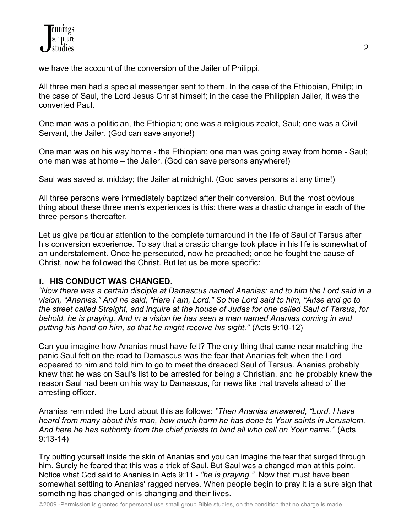we have the account of the conversion of the Jailer of Philippi.

All three men had a special messenger sent to them. In the case of the Ethiopian, Philip; in the case of Saul, the Lord Jesus Christ himself; in the case the Philippian Jailer, it was the converted Paul.

One man was a politician, the Ethiopian; one was a religious zealot, Saul; one was a Civil Servant, the Jailer. (God can save anyone!)

One man was on his way home - the Ethiopian; one man was going away from home - Saul; one man was at home – the Jailer. (God can save persons anywhere!)

Saul was saved at midday; the Jailer at midnight. (God saves persons at any time!)

All three persons were immediately baptized after their conversion. But the most obvious thing about these three men's experiences is this: there was a drastic change in each of the three persons thereafter.

Let us give particular attention to the complete turnaround in the life of Saul of Tarsus after his conversion experience. To say that a drastic change took place in his life is somewhat of an understatement. Once he persecuted, now he preached; once he fought the cause of Christ, now he followed the Christ. But let us be more specific:

## **I. HIS CONDUCT WAS CHANGED.**

*"Now there was a certain disciple at Damascus named Ananias; and to him the Lord said in a vision, "Ananias." And he said, "Here I am, Lord." So the Lord said to him, "Arise and go to the street called Straight, and inquire at the house of Judas for one called Saul of Tarsus, for behold, he is praying. And in a vision he has seen a man named Ananias coming in and putting his hand on him, so that he might receive his sight."* (Acts 9:10-12)

Can you imagine how Ananias must have felt? The only thing that came near matching the panic Saul felt on the road to Damascus was the fear that Ananias felt when the Lord appeared to him and told him to go to meet the dreaded Saul of Tarsus. Ananias probably knew that he was on Saul's list to be arrested for being a Christian, and he probably knew the reason Saul had been on his way to Damascus, for news like that travels ahead of the arresting officer.

Ananias reminded the Lord about this as follows: *"Then Ananias answered, "Lord, I have heard from many about this man, how much harm he has done to Your saints in Jerusalem. And here he has authority from the chief priests to bind all who call on Your name."* (Acts 9:13-14)

Try putting yourself inside the skin of Ananias and you can imagine the fear that surged through him. Surely he feared that this was a trick of Saul. But Saul was a changed man at this point. Notice what God said to Ananias in Acts 9:11 - *"he is praying."* Now that must have been somewhat settling to Ananias' ragged nerves. When people begin to pray it is a sure sign that something has changed or is changing and their lives.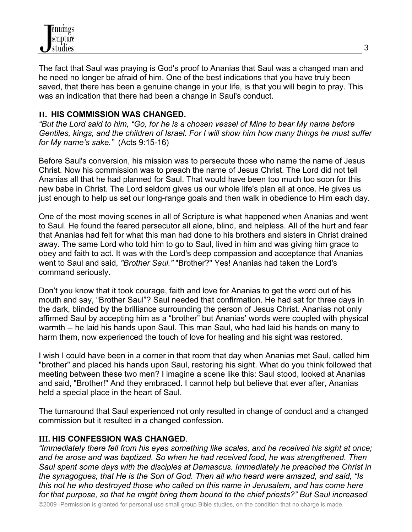

The fact that Saul was praying is God's proof to Ananias that Saul was a changed man and he need no longer be afraid of him. One of the best indications that you have truly been saved, that there has been a genuine change in your life, is that you will begin to pray. This was an indication that there had been a change in Saul's conduct.

#### **II. HIS COMMISSION WAS CHANGED.**

*"But the Lord said to him, "Go, for he is a chosen vessel of Mine to bear My name before Gentiles, kings, and the children of Israel. For I will show him how many things he must suffer for My name's sake."* (Acts 9:15-16)

Before Saul's conversion, his mission was to persecute those who name the name of Jesus Christ. Now his commission was to preach the name of Jesus Christ. The Lord did not tell Ananias all that he had planned for Saul. That would have been too much too soon for this new babe in Christ. The Lord seldom gives us our whole life's plan all at once. He gives us just enough to help us set our long-range goals and then walk in obedience to Him each day.

One of the most moving scenes in all of Scripture is what happened when Ananias and went to Saul. He found the feared persecutor all alone, blind, and helpless. All of the hurt and fear that Ananias had felt for what this man had done to his brothers and sisters in Christ drained away. The same Lord who told him to go to Saul, lived in him and was giving him grace to obey and faith to act. It was with the Lord's deep compassion and acceptance that Ananias went to Saul and said, *"Brother Saul."* "Brother?" Yes! Ananias had taken the Lord's command seriously.

Don't you know that it took courage, faith and love for Ananias to get the word out of his mouth and say, "Brother Saul"? Saul needed that confirmation. He had sat for three days in the dark, blinded by the brilliance surrounding the person of Jesus Christ. Ananias not only affirmed Saul by accepting him as a "brother" but Ananias' words were coupled with physical warmth -- he laid his hands upon Saul. This man Saul, who had laid his hands on many to harm them, now experienced the touch of love for healing and his sight was restored.

I wish I could have been in a corner in that room that day when Ananias met Saul, called him "brother" and placed his hands upon Saul, restoring his sight. What do you think followed that meeting between these two men? I imagine a scene like this: Saul stood, looked at Ananias and said, "Brother!" And they embraced. I cannot help but believe that ever after, Ananias held a special place in the heart of Saul.

The turnaround that Saul experienced not only resulted in change of conduct and a changed commission but it resulted in a changed confession.

#### **III. HIS CONFESSION WAS CHANGED**.

*"Immediately there fell from his eyes something like scales, and he received his sight at once; and he arose and was baptized. So when he had received food, he was strengthened. Then Saul spent some days with the disciples at Damascus. Immediately he preached the Christ in the synagogues, that He is the Son of God. Then all who heard were amazed, and said, "Is this not he who destroyed those who called on this name in Jerusalem, and has come here for that purpose, so that he might bring them bound to the chief priests?" But Saul increased*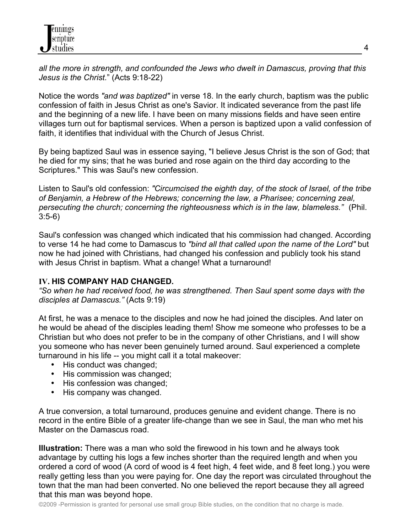*all the more in strength, and confounded the Jews who dwelt in Damascus, proving that this Jesus is the Christ.*" (Acts 9:18-22)

Notice the words *"and was baptized"* in verse 18. In the early church, baptism was the public confession of faith in Jesus Christ as one's Savior. It indicated severance from the past life and the beginning of a new life. I have been on many missions fields and have seen entire villages turn out for baptismal services. When a person is baptized upon a valid confession of faith, it identifies that individual with the Church of Jesus Christ.

By being baptized Saul was in essence saying, "I believe Jesus Christ is the son of God; that he died for my sins; that he was buried and rose again on the third day according to the Scriptures." This was Saul's new confession.

Listen to Saul's old confession: *"Circumcised the eighth day, of the stock of Israel, of the tribe of Benjamin, a Hebrew of the Hebrews; concerning the law, a Pharisee; concerning zeal, persecuting the church; concerning the righteousness which is in the law, blameless."* (Phil. 3:5-6)

Saul's confession was changed which indicated that his commission had changed. According to verse 14 he had come to Damascus to *"bind all that called upon the name of the Lord"* but now he had joined with Christians, had changed his confession and publicly took his stand with Jesus Christ in baptism. What a change! What a turnaround!

## **IV. HIS COMPANY HAD CHANGED.**

*"So when he had received food, he was strengthened. Then Saul spent some days with the disciples at Damascus."* (Acts 9:19)

At first, he was a menace to the disciples and now he had joined the disciples. And later on he would be ahead of the disciples leading them! Show me someone who professes to be a Christian but who does not prefer to be in the company of other Christians, and I will show you someone who has never been genuinely turned around. Saul experienced a complete turnaround in his life -- you might call it a total makeover:

- His conduct was changed;
- His commission was changed;
- His confession was changed;
- His company was changed.

A true conversion, a total turnaround, produces genuine and evident change. There is no record in the entire Bible of a greater life-change than we see in Saul, the man who met his Master on the Damascus road.

**Illustration:** There was a man who sold the firewood in his town and he always took advantage by cutting his logs a few inches shorter than the required length and when you ordered a cord of wood (A cord of wood is 4 feet high, 4 feet wide, and 8 feet long.) you were really getting less than you were paying for. One day the report was circulated throughout the town that the man had been converted. No one believed the report because they all agreed that this man was beyond hope.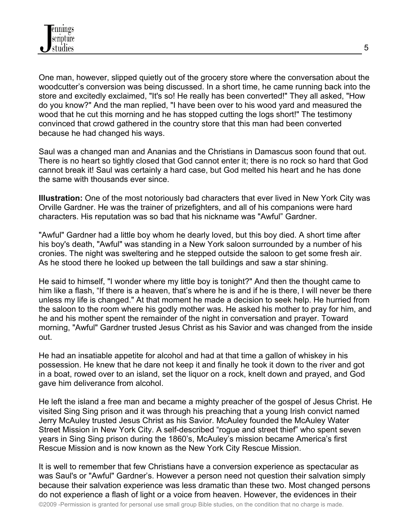One man, however, slipped quietly out of the grocery store where the conversation about the woodcutter's conversion was being discussed. In a short time, he came running back into the store and excitedly exclaimed, "It's so! He really has been converted!" They all asked, "How do you know?" And the man replied, "I have been over to his wood yard and measured the wood that he cut this morning and he has stopped cutting the logs short!" The testimony convinced that crowd gathered in the country store that this man had been converted because he had changed his ways.

Saul was a changed man and Ananias and the Christians in Damascus soon found that out. There is no heart so tightly closed that God cannot enter it; there is no rock so hard that God cannot break it! Saul was certainly a hard case, but God melted his heart and he has done the same with thousands ever since.

**Illustration:** One of the most notoriously bad characters that ever lived in New York City was Orville Gardner. He was the trainer of prizefighters, and all of his companions were hard characters. His reputation was so bad that his nickname was "Awful" Gardner.

"Awful" Gardner had a little boy whom he dearly loved, but this boy died. A short time after his boy's death, "Awful" was standing in a New York saloon surrounded by a number of his cronies. The night was sweltering and he stepped outside the saloon to get some fresh air. As he stood there he looked up between the tall buildings and saw a star shining.

He said to himself, "I wonder where my little boy is tonight?" And then the thought came to him like a flash, "If there is a heaven, that's where he is and if he is there, I will never be there unless my life is changed." At that moment he made a decision to seek help. He hurried from the saloon to the room where his godly mother was. He asked his mother to pray for him, and he and his mother spent the remainder of the night in conversation and prayer. Toward morning, "Awful" Gardner trusted Jesus Christ as his Savior and was changed from the inside out.

He had an insatiable appetite for alcohol and had at that time a gallon of whiskey in his possession. He knew that he dare not keep it and finally he took it down to the river and got in a boat, rowed over to an island, set the liquor on a rock, knelt down and prayed, and God gave him deliverance from alcohol.

He left the island a free man and became a mighty preacher of the gospel of Jesus Christ. He visited Sing Sing prison and it was through his preaching that a young Irish convict named Jerry McAuley trusted Jesus Christ as his Savior. McAuley founded the McAuley Water Street Mission in New York City. A self-described "rogue and street thief" who spent seven years in Sing Sing prison during the 1860's, McAuley's mission became America's first Rescue Mission and is now known as the New York City Rescue Mission.

It is well to remember that few Christians have a conversion experience as spectacular as was Saul's or "Awful" Gardner's. However a person need not question their salvation simply because their salvation experience was less dramatic than these two. Most changed persons do not experience a flash of light or a voice from heaven. However, the evidences in their